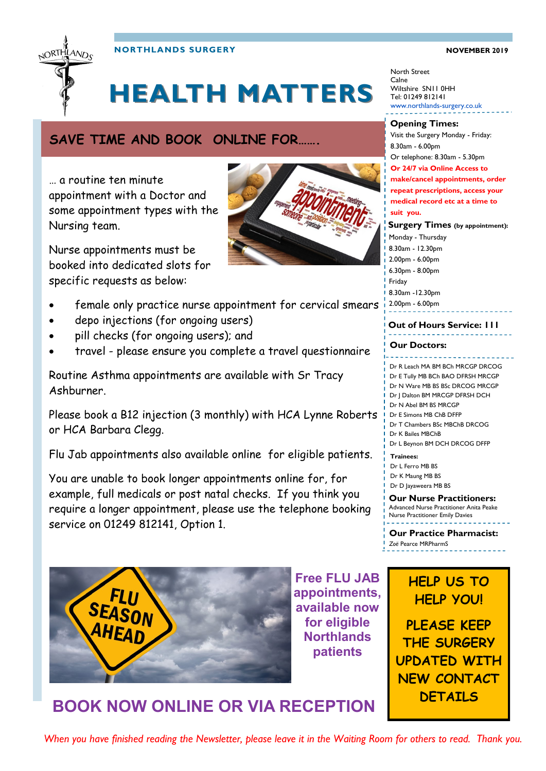

**NORTHLANDS SURGERY NOWEMBER 2019** 

# **HEALTH MATTERS**

## **SAVE TIME AND BOOK ONLINE FOR…….**

… a routine ten minute appointment with a Doctor and some appointment types with the Nursing team.

Nurse appointments must be booked into dedicated slots for specific requests as below:



- depo injections (for ongoing users)
- pill checks (for ongoing users); and
- travel please ensure you complete a travel questionnaire

Routine Asthma appointments are available with Sr Tracy Ashburner.

Please book a B12 injection (3 monthly) with HCA Lynne Roberts or HCA Barbara Clegg.

Flu Jab appointments also available online for eligible patients.

You are unable to book longer appointments online for, for example, full medicals or post natal checks. If you think you require a longer appointment, please use the telephone booking service on 01249 812141, Option 1.



**Free FLU JAB appointments, available now for eligible Northlands patients**

North Street Calne Wiltshire SN11 0HH Tel: 01249 812141 www.northlands-surgery.co.uk

**Surgery Times (by appointment):** Visit the Surgery Monday - Friday: 8.30am - 6.00pm Or telephone: 8.30am - 5.30pm **Or 24/7 via Online Access to make/cancel appointments, order repeat prescriptions, access your medical record etc at a time to suit you. Opening Times:**

Monday - Thursday 8.30am - 12.30pm 2.00pm - 6.00pm 6.30pm - 8.00pm Friday

8.30am -12.30pm

2.00pm - 6.00pm

### **Out of Hours Service: 111**

#### **Our Doctors:**

<u>dia dia dia dia</u> Dr R Leach MA BM BCh MRCGP DRCOG Dr E Tully MB BCh BAO DFRSH MRCGP Dr N Ware MB BS BSc DRCOG MRCGP Dr J Dalton BM MRCGP DFRSH DCH Dr N Abel BM BS MRCGP Dr E Simons MB ChB DFFP Dr T Chambers BSc MBChB DRCOG Dr K Bailes MBChB

Dr L Beynon BM DCH DRCOG DFFP

**Trainees:** Dr L Ferro MB BS Dr K Maung MB BS

Dr D Jayaweera MB BS

#### **Our Nurse Practitioners:**  Advanced Nurse Practitioner Anita Peake

Nurse Practitioner Emily Davies

**Our Practice Pharmacist:**  *Zoë* Pearce MRPharmS

## **HELP US TO HELP YOU!**

**PLEASE KEEP THE SURGERY UPDATED WITH NEW CONTACT DETAILS**

## **BOOK NOW ONLINE OR VIA RECEPTION**

*When you have finished reading the Newsletter, please leave it in the Waiting Room for others to read. Thank you.*